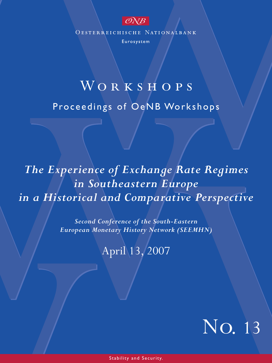

OESTERREICHISCHE NATIONALBANK

Eurosystem

# WORKSHOPS

Proceedings of OeNB Workshops

# *The Experience of Exchange Rate Regimes in Southeastern Europe in a Historical and Comparative Perspective*

*Second Conference of the South-Eastern European Monetary History Network (SEEMHN)*

April 13, 2007



Stability and Security.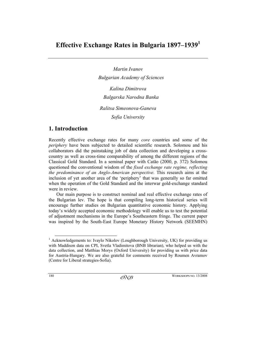# **Effective Exchange Rates in Bulgaria 1897–19391**

*Martin Ivanov Bulgarian Academy of Sciences Kalina Dimitrova* 

*Balgarska Narodna Banka* 

*Ralitsa Simeonova-Ganeva* 

*Sofia University* 

## **1. Introduction**

Recently effective exchange rates for many *core* countries and some of the *periphery* have been subjected to detailed scientific research. Solomou and his collaborators did the painstaking job of data collection and developing a crosscountry as well as cross-time comparability of among the different regions of the Classical Gold Standard. In a seminal paper with Catāo (2000, p. 372) Solomou questioned the conventional wisdom of the *fixed exchange rate regime, reflecting the predominance of an Anglo-American perspective*. This research aims at the inclusion of yet another area of the 'periphery' that was generally so far omitted when the operation of the Gold Standard and the interwar gold-exchange standard were in review.

Our main purpose is to construct nominal and real effective exchange rates of the Bulgarian lev. The hope is that compiling long-term historical series will encourage further studies on Bulgarian quantitative economic history. Applying today's widely accepted economic methodology will enable us to test the potential of adjustment mechanisms in the Europe's Southeastern fringe. The current paper was inspired by the South-East Europe Monetary History Network (SEEMHN)

<sup>&</sup>lt;sup>1</sup> Acknowledgements to: Ivaylo Nikolov (Loughborough University, UK) for providing us with Maddison data on CPI, Svetla Vladimitova (BNB librarian), who helped us with the data collection, and Matthias Morys (Oxford University) for providing us with price data for Austria-Hungary. We are also grateful for comments received by Roumen Avramov (Centre for Liberal strategies-Sofia).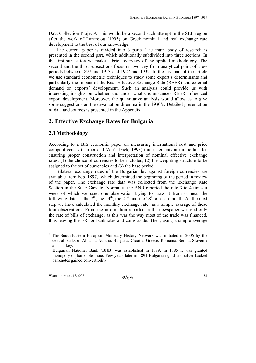Data Collection Project<sup>2</sup>. This would be a second such attempt in the SEE region after the work of Lazaretou (1995) on Greek nominal and real exchange rate development to the best of our knowledge.

The current paper is divided into 3 parts. The main body of research is presented in the second part, which additionally subdivided into three sections. In the first subsection we make a brief overview of the applied methodology. The second and the third subsections focus on two key from analytical point of view periods between 1897 and 1913 and 1927 and 1939. In the last part of the article we use standard econometric techniques to study some export's determinants and particularly the impact of the Real Effective Exchange Rate (REER) and external demand on exports' development. Such an analysis could provide us with interesting insights on whether and under what circumstances REER influenced export development. Moreover, the quantitative analysis would allow us to give some suggestions on the devaluation dilemma in the 1930's. Detailed presentation of data and sources is presented in the Appendix.

## **2. Effective Exchange Rates for Bulgaria**

### **2.1Methodology**

According to a BIS economic paper on measuring international cost and price competitiveness (Turner and Van't Dack, 1993) three elements are important for ensuring proper construction and interpretation of nominal effective exchange rates: (1) the choice of currencies to be included, (2) the weighting structure to be assigned to the set of currencies and (3) the base period.

Bilateral exchange rates of the Bulgarian lev against foreign currencies are available from Feb.  $1897<sup>3</sup>$  which determined the beginning of the period in review of the paper. The exchange rate data was collected from the Exchange Rate Section in the State Gazette. Normally, the BNB reported the rate 3 to 4 times a week of which we used one observation trying to draw it from or near the following dates – the  $7<sup>th</sup>$ , the  $14<sup>th</sup>$ , the  $21<sup>st</sup>$  and the  $28<sup>th</sup>$  of each month. As the next step we have calculated the monthly exchange rate as a simple average of these four observations. From the information reported in the newspaper we used only the rate of bills of exchange, as this was the way most of the trade was financed, thus leaving the ER for banknotes and coins aside. Then, using a simple average

<sup>&</sup>lt;sup>2</sup> The South-Eastern European Monetary History Network was initiated in 2006 by the central banks of Albania, Austria, Bulgaria, Croatia, Greece, Romania, Serbia, Slovenia and Turkey.<br> $3$  Bulgarian N

Bulgarian National Bank (BNB) was established in 1879. In 1885 it was granted monopoly on banknote issue. Few years later in 1891 Bulgarian gold and silver backed banknotes gained convertibility.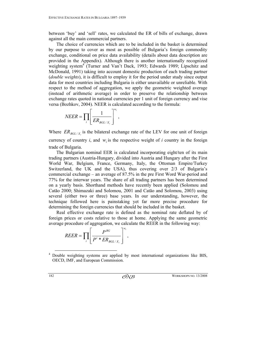between 'buy' and 'sell' rates, we calculated the ER of bills of exchange, drawn against all the main commercial partners.

The choice of currencies which are to be included in the basket is determined by our purpose to cover as most as possible of Bulgaria's foreign commodity exchange, conditional on price data availability (details about data description are provided in the Appendix). Although there is another internationally recognized weighting system<sup>4</sup> (Turner and Van't Dack, 1993; Edwards 1989; Lipschitz and McDonald, 1991) taking into account domestic production of each trading partner (*double weights*), it is difficult to employ it for the period under study since output data for most countries including Bulgaria is either unavailable or unreliable. With respect to the method of aggregation, we apply the geometric weighted average (instead of arithmetic average) in order to preserve the relationship between exchange rates quoted in national currencies per 1 unit of foreign currency and vise versa (Bozhkov, 2004). NEER is calculated according to the formula:

$$
NEER = \prod_i \left[ \frac{1}{ER_{BGL/X_i}} \right]^{w_i},
$$

Where  $ER_{BGL/X}$  is the bilateral exchange rate of the LEV for one unit of foreign currency of country  $i$ , and  $w_i$  is the respective weight of  $i$  country in the foreign trade of Bulgaria.

The Bulgarian nominal EER is calculated incorporating eight/ten of its main trading partners (Austria-Hungary, divided into Austria and Hungary after the First World War, Belgium, France, Germany, Italy, the Ottoman Empire/Turkey Switzerland, the UK and the USA), thus covering over 2/3 of Bulgaria's commercial exchange – an average of 87.5% in the pre First Word War-period and 77% for the interwar years. The share of all trading partners has been determined on a yearly basis. Shorthand methods have recently been applied (Solomou and Catāo 2000; Shimazaki and Solomou, 2001 and Catāo and Solomou, 2003) using several (either two or three) base years. In our understanding, however, the technique followed here is painstaking yet far more precise procedure for determining the foreign currencies that should be included in the basket.

Real effective exchange rate is defined as the nominal rate deflated by of foreign prices or costs relative to those at home. Applying the same geometric average procedure of aggregation, we calculate the REER in the following way:

$$
REER = \prod_i \left[ \frac{P^{BG}}{P^i * ER_{BGL/X_i}} \right]^{w_i},
$$

 <sup>4</sup> Double weighting systems are applied by most international organizations like BIS, OECD, IMF, and European Commission.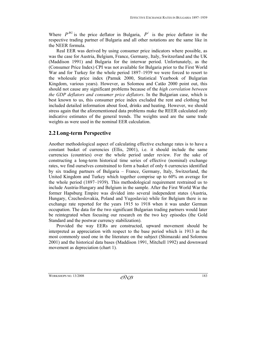Where  $P^{BG}$  is the price deflator in Bulgaria,  $P^i$  is the price deflator in the respective trading partner of Bulgaria and all other notations are the same like in the NEER formula.

Real EER was derived by using consumer price indicators where possible, as was the case for Austria, Belgium, France, Germany, Italy, Switzerland and the UK (Maddison 1991) and Bulgaria for the interwar period. Unfortunately, as the (Consumer Price Index) CPI was not available for Bulgaria prior to the First World War and for Turkey for the whole period 1897–1939 we were forced to resort to the wholesale price index (Pamuk 2000, Statistical Yearbook of Bulgarian Kingdom, various years). However, as Solomou and Catāo 2000 point out, this should not cause any significant problems because of the *high correlation between the GDP deflators and consumer price deflators*. In the Bulgarian case, which is best known to us, this consumer price index excluded the rent and clothing but included detailed information about food, drinks and heating. However, we should stress again that the aforementioned data problems make the REER calculated only indicative estimates of the general trends. The weights used are the same trade weights as were used in the nominal EER calculation.

## **2.2Long-term Perspective**

Another methodological aspect of calculating effective exchange rates is to have a constant basket of currencies (Ellis, 2001), i.e. it should include the same currencies (countries) over the whole period under review. For the sake of constructing a long-term historical time series of effective (nominal) exchange rates, we find ourselves constrained to form a basket of only 6 currencies identified by six trading partners of Bulgaria – France, Germany, Italy, Switzerland, the United Kingdom and Turkey which together comprise up to 60% on average for the whole period (1897–1939). This methodological requirement restrained us to include Austria-Hungary and Belgium in the sample. After the First World War the former Hapsburg Empire was divided into several independent states (Austria, Hungary, Czechoslovakia, Poland and Yugoslavia) while for Belgium there is no exchange rate reported for the years 1915 to 1918 when it was under German occupation. The data for the two significant Bulgarian trading partners would later be reintegrated when focusing our research on the two key episodes (the Gold Standard and the postwar currency stabilization).

Provided the way EERs are constructed, upward movement should be interpreted as appreciation with respect to the base period which is 1913 as the most commonly used one in the literature on the subject (Shimazaki and Solomou 2001) and the historical data bases (Maddison 1991, Mitchell 1992) and downward movement as depreciation (chart 1).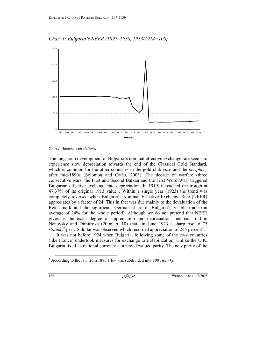

*Chart 1: Bulgaria's NEER (1897–1938, 1913/1914=100)* 

*Source: Authors' calculations.* 

The long-term development of Bulgaria's nominal effective exchange rate seems to experience slow depreciation towards the end of the Classical Gold Standard, which is common for the other countries in the gold club *core* and the *periphery* after mid-1890s (Solomou and Catāo, 2003). The decade of warfare (three consecutive wars: the First and Second Balkan and the First Word War) triggered Bulgarian effective exchange rate depreciation. In 1919, it reached the trough at 47.37% of its original 1913 value . Within a single year (1923) the trend was completely reversed when Bulgaria's Nominal Effective Exchange Rate (NEER) appreciates by a factor of 24. This in fact was due mainly to the devaluation of the Reichsmark and the significant German share of Bulgaria's visible trade (an average of 24% for the whole period). Although we do not pretend that NEER gives us the exact degree of appreciation and depreciation, one can find in Nenovsky and Dimitrova (2006, p. 10) that "in June 1923 a sharp rise to 75 stotinky<sup>5</sup> per US dollar was observed which recorded appreciation of 245 percent".

It was not before 1924 when Bulgaria, following some of the *core* countries (like France) undertook measures for exchange rate stabilization. Unlike the U.K. Bulgaria fixed its national currency at a new devalued parity. The new parity of the

 <sup>5</sup> According to the law from 1885 1 lev was subdivided into 100 *stotinky*.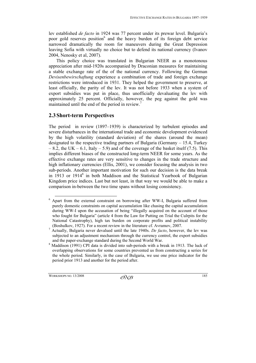lev established *de facto* in 1924 was 77 percent under its prewar level. Bulgaria's poor gold reserves position<sup>6</sup> and the heavy burden of its foreign debt service narrowed dramatically the room for maneuvers during the Great Depression leaving Sofia with virtually no choice but to defend its national currency (Ivanov 2004, Nenosky et al, 2007).

This policy choice was translated in Bulgarian NEER as a monotonous appreciation after mid-1920s accompanied by Draconian measures for maintaining a stable exchange rate of the of the national currency. Following the German *Devisenbewirschaftung* experience a combination of trade and foreign exchange restrictions were introduced in 1931. They helped the government to preserve, at least officially, the parity of the lev. It was not before 1933 when a system of export subsidies was put in place, thus unofficially devaluating the lev with approximately 25 percent. Officially, however, the peg against the gold was maintained until the end of the period in review.<sup>7</sup>

#### **2.3Short-term Perspectives**

The period in review (1897–1939) is characterized by turbulent episodes and severe disturbances in the international trade and economic development evidenced by the high volatility (standard deviation) of the shares (around the mean) designated to the respective trading partners of Bulgaria (Germany – 15.4, Turkey  $-8.2$ , the UK – 6.1, Italy – 5.9) and of the coverage of the basket itself (7.5). This implies different biases of the constructed long-term NEER for some years. As the effective exchange rates are very sensitive to changes in the trade structure and high inflationary currencies (Ellis, 2001), we consider focusing the analysis in two sub-periods. Another important motivation for such our decision is the data break in 1913 or 1914<sup>8</sup> in both Maddison and the Statistical Yearbook of Bulgarian Kingdom price indices. Last but not least, in that way we would be able to make a comparison in-between the two time spans without losing consistency.

 <sup>6</sup> Apart from the external constraint on borrowing after WW-I, Bulgaria suffered from purely domestic constraints on capital accumulation like chasing the capital accumulation during WW-I upon the accusation of being "illegally acquired on the account of those who fought for Bulgaria" (article 4 from the Law for Putting on Trial the Culrpits for the National Catastrophy), high tax burden on corporate profits and political instability (Boshulkov, 1927). For a recent review in the literature cf. Avramov, 2007.<br> $\frac{7}{2}$  Actually, Bulgaria never devalued until the late 1940s. De fecto, however

Actually, Bulgaria never devalued until the late 1940s. *De facto*, however, the lev was subjected to an adjustment mechanism through the currency control, the export subsidies and the paper-exchange standard during the Second World War.<br><sup>8</sup> Maddison (1991) CPI data is divided into sub periods with a br

Maddison (1991) CPI data is divided into sub-periods with a break in 1913. The luck of overlapping observations for some countries prevented us from constructing a series for the whole period. Similarly, in the case of Bulgaria, we use one price indicator for the period prior 1913 and another for the period after.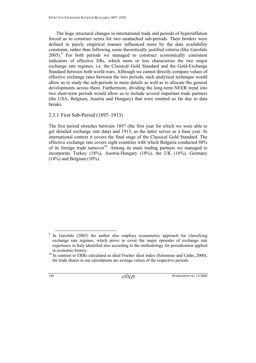The huge structural changes in international trade and periods of hyperinflation forced us to construct series for two unattached sub-periods. Their borders were defined in purely empirical manner influenced more by the data availability constraint, rather than following some theoretically justified criteria (like Garofalo 2005).<sup>9</sup> For both periods we managed to construct economically consistent indicators of effective ERs, which more or less characterize the two major exchange rate regimes, i.e. the Classical Gold Standard and the Gold-Exchange Standard between both world wars. Although we cannot directly compare values of effective exchange rates between the two periods, such analytical technique would allow us to study the sub-periods in more details as well as to allocate the general developments across them. Furthermore, dividing the long-term NEER trend into two short-term periods would allow us to include several important trade partners (the USA, Belgium, Austria and Hungary) that were omitted so far due to data breaks.

#### 2.3.1 First Sub-Period (1897–1913)

The first period stretches between 1897 (the first year for which we were able to get detailed exchange rate data) and 1913, as the latter serves as a base year. In international context it covers the final stage of the Classical Gold Standard. The effective exchange rate covers eight countries with which Bulgaria conducted 88% of its foreign trade turnover<sup>10</sup>. Among its main trading partners we managed to incorporate Turkey (18%), Austria-Hungary (18%), the UK (16%), Germany  $(14%)$  and Belgium  $(10%)$ .

<sup>&</sup>lt;sup>9</sup> In Garofalo (2005) the author also employs econometric approach for classifying exchange rate regimes, which prove to cover the major episodes of exchange rate experience in Italy identified also according to the methodology for periodization applied

in economic history. 10 In contrast to ERRs calculated as ideal Fischer ideal index (Solomous and Catāo, 2000), the trade shares in our calculations are average values of the respective periods.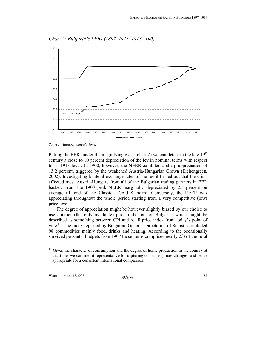

*Chart 2: Bulgaria's EERs (1897–1913, 1913=100)* 

*Source: Authors' calculations.* 

Putting the EERs under the magnifying glass (chart 2) we can detect in the late  $19<sup>th</sup>$ century a close to 10 percent depreciation of the lev in nominal terms with respect to its 1913 level. In 1900, however, the NEER exhibited a sharp appreciation of 13.2 percent, triggered by the weakened Austria-Hungarian Crown (Eichengreen, 2002). Investigating bilateral exchange rates of the lev it turned out that the crisis affected most Austria-Hungary from all of the Bulgarian trading partners in EER basket. From the 1900 peak NEER marginally depreciated by 2.5 percent on average till end of the Classical Gold Standard. Conversely, the REER was appreciating throughout the whole period starting from a very competitive (low) price level.

The degree of appreciation might be however slightly biased by our choice to use another (the only available) price indicator for Bulgaria, which might be described as something between CPI and retail price index from today's point of view<sup>11</sup>. The index reported by Bulgarian General Directorate of Statistics included 98 commodities mainly food, drinks and heating. According to the occasionally survived peasants' budgets from 1907 those items comprised nearly 2/3 of the rural

 $11$  Given the character of consumption and the degree of home production in the country at that time, we consider it representative for capturing consumer prices changes, and hence appropriate for a consistent international comparison.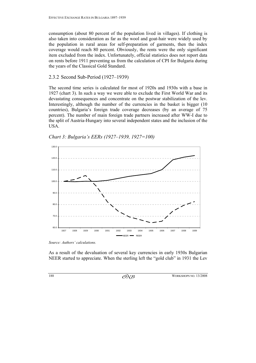consumption (about 80 percent of the population lived in villages). If clothing is also taken into consideration as far as the wool and goat-hair were widely used by the population in rural areas for self-preparation of garments, then the index coverage would reach 80 percent. Obviously, the rents were the only significant item excluded from the index. Unfortunately, official statistics does not report data on rents before 1911 preventing us from the calculation of CPI for Bulgaria during the years of the Classical Gold Standard.

#### 2.3.2 Second Sub-Period (1927–1939)

The second time series is calculated for most of 1920s and 1930s with a base in 1927 (chart 3). In such a way we were able to exclude the First World War and its devastating consequences and concentrate on the postwar stabilization of the lev. Interestingly, although the number of the currencies in the basket is bigger (10 countries), Bulgaria's foreign trade coverage decreases (by an average of 75 percent). The number of main foreign trade partners increased after WW-I due to the split of Austria-Hungary into several independent states and the inclusion of the USA.



*Chart 3: Bulgaria's EERs (1927–1939, 1927=100)* 

*Source: Authors' calculations.* 

As a result of the devaluation of several key currencies in early 1930s Bulgarian NEER started to appreciate. When the sterling left the "gold club" in 1931 the Lev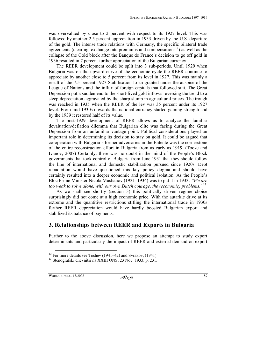was overvalued by close to 2 percent with respect to its 1927 level. This was followed by another 2.5 percent appreciation in 1933 driven by the U.S. departure of the gold. The intense trade relations with Germany, the specific bilateral trade agreements (clearing, exchange rate premiums and compensations<sup>12</sup>) as well as the collapse of the Gold block after the Banque de France's decision to go off gold in 1936 resulted in 7 percent further appreciation of the Bulgarian currency.

The REER development could be split into 3 sub-periods. Until 1929 when Bulgaria was on the upward curve of the economic cycle the REER continue to appreciate by another close to 5 percent from its level in 1927. This was mainly a result of the 7.5 percent 1927 Stabilisation Loan granted under the auspice of the League of Nations and the influx of foreign capitals that followed suit. The Great Depression put a sudden end to the short-lived gold inflows reversing the trend to a steep depreciation aggravated by the sharp slump in agricultural prices. The trough was reached in 1935 when the REER of the lev was 35 percent under its 1927 level. From mid-1930s onwards the national currency started gaining strength and by the 1939 it restored half of its value.

The post-1929 development of REER allows us to analyze the familiar devaluation/deflation dilemma that Bulgarian elite was facing during the Great Depression from an unfamiliar vantage point. Political considerations played an important role in determining its decision to stay on gold. It could be argued that co-operation with Bulgaria's former adversaries in the Entente was the cornerstone of the entire reconstruction effort in Bulgaria from as early as 1919. (Tooze and Ivanov, 2007) Certainly, there was no doubt in the mind of the People's Block governments that took control of Bulgaria from June 1931 that they should follow the line of international and domestic stabilization pursued since 1920s. Debt repudiation would have questioned this key policy dogma and should have certainly resulted into a deeper economic and political isolation. As the People's Bloc Prime Minister Nicola Mushanov (1931–1934) was to put it in 1933: *"We are too weak to solve alone, with our own Dutch courage, the (economic) problems."*13

As we shall see shortly (section 3) this politically driven regime choice surprisingly did not come at a high economic price. With the autarkic drive at its extreme and the quantitive restrictions stifling the international trade in 1930s further REER depreciation would have hardly boosted Bulgarian export and stabilized its balance of payments.

## **3. Relationships between REER and Exports in Bulgaria**

Further to the above discussion, here we propose an attempt to study export determinants and particularly the impact of REER and external demand on export

<sup>&</sup>lt;sup>12</sup> For more details see Toshev (1941–42) and Svrakov, (1941).<br><sup>13</sup> Stenografski dnevnitsi na XXIII ONS, 23 Nov. 1933, p. 231.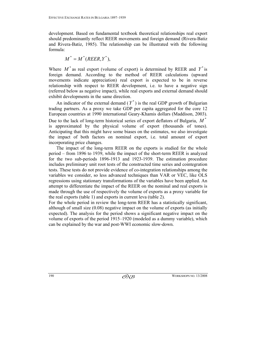development. Based on fundamental textbook theoretical relationships real export should predominantly reflect REER movements and foreign demand (Rivera-Batiz and Rivera-Batiz, 1985). The relationship can be illustrated with the following formula:

$$
M^* = M^*(REER, Y^*),
$$

Where  $M^*$  as real export (volume of export) is determined by REER and  $Y^*$  is foreign demand. According to the method of REER calculations (upward movements indicate appreciation) real export is expected to be in reverse relationship with respect to REER development, i.e. to have a negative sign (referred below as negative impact), while real exports and external demand should exhibit developments in the same direction.

An indicator of the external demand  $(Y^*)$  is the real GDP growth of Bulgarian trading partners. As a proxy we take GDP per capita aggregated for the core 12 European countries at 1990 international Geary-Khamis dollars (Maddison, 2003). Due to the lack of long-term historical series of export deflators of Bulgaria,  $M^*$ is approximated by the physical volume of export (thousands of tones). Anticipating that this might have some biases on the estimates, we also investigate the impact of both factors on nominal export, i.e. total amount of export incorporating price changes.

The impact of the long-term REER on the exports is studied for the whole period – from 1896 to 1939, while the impact of the short-term REER is analyzed for the two sub-periods 1896-1913 and 1923-1939. The estimation procedure includes preliminary unit root tests of the constructed time series and cointegration tests. These tests do not provide evidence of co-integration relationships among the variables we consider, so less advanced techniques than VAR or VEC, like OLS regressions using stationary transformations of the variables have been applied. An attempt to differentiate the impact of the REER on the nominal and real exports is made through the use of respectively the volume of exports as a proxy variable for the real exports (table 1) and exports in current leva (table 2).

For the whole period in review the long-term REER has a statistically significant, although of small size (0.08) negative impact on the volume of exports (as initially expected). The analysis for the period shows a significant negative impact on the volume of exports of the period 1915–1920 (modeled as a dummy variable), which can be explained by the war and post-WWI economic slow-down.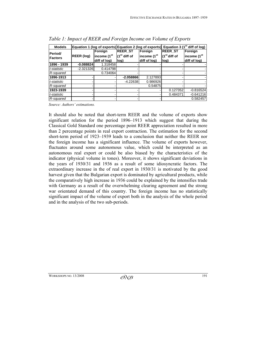| <b>Models</b>             |                   |                         | Equation 1 (log of exports) Equation 2 (log of exports) Equation 3 (1 <sup>st</sup> diff of log) |                         |                          |                         |
|---------------------------|-------------------|-------------------------|--------------------------------------------------------------------------------------------------|-------------------------|--------------------------|-------------------------|
| Period/<br><b>Factors</b> |                   | Foreign                 | <b>REERST</b>                                                                                    | Foreign                 | <b>REER ST</b>           | Foreign                 |
|                           | <b>REER</b> (log) | income (1 <sup>st</sup> | $(1st$ diff of                                                                                   | income (1 <sup>st</sup> | (1 <sup>st</sup> diff of | income (1 <sup>st</sup> |
|                           |                   | diff of log)            | log)                                                                                             | diff of log)            | llog)                    | diff of log)            |
| 1896 - 1939               | $-0.088824$       | 1.318458                |                                                                                                  |                         |                          |                         |
| t-statistic               | $-2.321326$       | 0.414798                |                                                                                                  |                         |                          |                         |
| R-squared                 |                   | 0.734064                |                                                                                                  |                         |                          |                         |
| 1896-1913                 |                   |                         | $-2.058866$                                                                                      | 2.127893                |                          |                         |
| t-statistic               |                   |                         | $-4.22638$                                                                                       | 0.986926                |                          |                         |
| R-squared                 |                   |                         |                                                                                                  | 0.54875                 |                          |                         |
| 1923-1939                 |                   |                         |                                                                                                  |                         | 0.127352                 | $-0.816524$             |
| t-statistic               |                   |                         |                                                                                                  |                         | 0.484371                 | $-0.641216$             |
| R-squared                 |                   |                         |                                                                                                  |                         |                          | 0.582457                |

*Table 1: Impact of REER and Foreign Income on Volume of Exports* 

*Source: Authors' estimations.* 

It should also be noted that short-term REER and the volume of exports show significant relation for the period 1896–1913 which suggest that during the Classical Gold Standard one percentage point REER appreciation resulted in more than 2 percentage points in real export contraction. The estimation for the second short-term period of 1923–1939 leads to a conclusion that neither the REER nor the foreign income has a significant influence. The volume of exports however, fluctuates around some autonomous value, which could be interpreted as an autonomous real export or could be also biased by the characteristics of the indicator (physical volume in tones). Moreover, it shows significant deviations in the years of 1930/31 and 1936 as a result of some idiosyncratic factors. The extraordinary increase in the of real export in 1930/31 is motivated by the good harvest given that the Bulgarian export is dominated by agricultural products, while the comparatively high increase in 1936 could be explained by the intensifies trade with Germany as a result of the overwhelming clearing agreement and the strong war orientated demand of this country. The foreign income has no statistically significant impact of the volume of export both in the analysis of the whole period and in the analysis of the two sub-periods.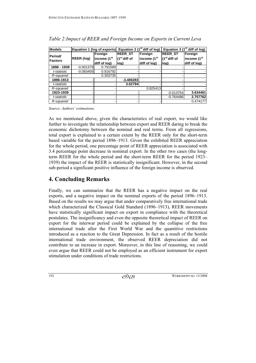| <b>Models</b>                    |                   |                         | Equation 1 (log of exports) Equation 2 (1 <sup>st</sup> diff of log) |                         | Equation 3 ( $1st$ diff of log) |                         |
|----------------------------------|-------------------|-------------------------|----------------------------------------------------------------------|-------------------------|---------------------------------|-------------------------|
| <b>Period/</b><br><b>Factors</b> |                   | Foreign                 | <b>REER ST</b>                                                       | Foreign                 | <b>REER ST</b>                  | Foreign                 |
|                                  | <b>REER (log)</b> | income (1 <sup>st</sup> | (1 <sup>st</sup> diff of                                             | income (1 <sup>st</sup> | (1 <sup>st</sup> diff of        | income (1 <sup>st</sup> |
|                                  |                   | diff of log)            | log)                                                                 | diff of log)            | log)                            | diff of log)            |
| 1896 - 1939                      | $-0.001379$       | 0.791589                |                                                                      |                         |                                 |                         |
| t-statistic                      | $-0.083405$       | 0.916792                |                                                                      |                         |                                 |                         |
| R-squared                        |                   | 0.303735                |                                                                      |                         |                                 |                         |
| 1896-1913                        |                   |                         | $-3.406283$                                                          |                         |                                 |                         |
| t-statistic                      |                   |                         | 3.02794                                                              |                         |                                 |                         |
| R-squared                        |                   |                         |                                                                      | 0.825413                |                                 |                         |
| 1923-1939                        |                   |                         |                                                                      |                         | $-0.013754$                     | 3.634461                |
| t-statistic                      |                   |                         |                                                                      |                         | $-0.764486$                     | 2.757762                |
| R-squared                        |                   |                         |                                                                      |                         |                                 | 0.474177                |

*Table 2:Impact of REER and Foreign Income on Exports in Current Leva* 

*Source: Authors' estimations.* 

As we mentioned above, given the characteristics of real export, we would like further to investigate the relationship between export and REER daring to break the economic dichotomy between the nominal and real terms. From all regressions, total export is explained to a certain extent by the REER only for the short-term based variable for the period 1896–1913. Given the exhibited REER appreciation for the whole period, one percentage point of REER appreciation is associated with 3.4 percentage point decrease in nominal export. In the other two cases (the longterm REER for the whole period and the short-term REER for the period 1923– 1939) the impact of the REER is statistically insignificant. However, in the second sub-period a significant positive influence of the foreign income is observed.

# **4. Concluding Remarks**

Finally, we can summarize that the REER has a negative impact on the real exports, and a negative impact on the nominal exports of the period 1896–1913. Based on the results we may argue that under comparatively free international trade which characterized the Classical Gold Standard (1896–1913), REER movements have statistically significant impact on export in compliance with the theoretical postulates. The insignificancy and even the opposite theoretical impact of REER on export for the interwar period could be explained by the collapse of the free international trade after the First World War and the quantitive restrictions introduced as a reaction to the Great Depression. In fact as a result of the hostile international trade environment, the observed REER depreciation did not contribute to an increase in export. Moreover, in this line of reasoning, we could even argue that REER could not be employed as an efficient instrument for export stimulation under conditions of trade restrictions.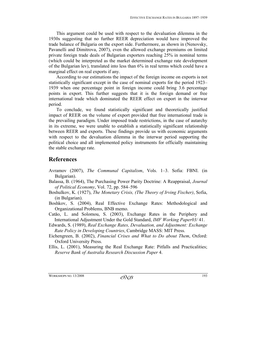This argument could be used with respect to the devaluation dilemma in the 1930s suggesting that no further REER depreciation would have improved the trade balance of Bulgaria on the export side. Furthermore, as shown in (Nenovsky, Pavanelli and Dimitrova, 2007), even the allowed exchange premiums on limited private foreign trade deals of Bulgarian exporters reaching 25% in nominal terms (which could be interpreted as the market determined exchange rate development of the Bulgarian lev), translated into less than 6% in real terms which could have a marginal effect on real exports if any.

According to our estimations the impact of the foreign income on exports is not statistically significant except in the case of nominal exports for the period 1923– 1939 when one percentage point in foreign income could bring 3.6 percentage points in export. This further suggests that it is the foreign demand or free international trade which dominated the REER effect on export in the interwar period.

To conclude, we found statistically significant and theoretically justified impact of REER on the volume of export provided that free international trade is the prevailing paradigm. Under imposed trade restrictions, in the case of autarchy in its extreme, we were unable to establish a statistically significant relationship between REER and exports. These findings provide us with economic arguments with respect to the devaluation dilemma in the interwar period supporting the political choice and all implemented policy instruments for officially maintaining the stable exchange rate.

### **References**

- Avramov (2007), *The Communal Capitalism*, Vols. 1–3. Sofia: FBNI. (in Bulgarian).
- Balassa, B. (1964), The Purchasing Power Parity Doctrine: A Reappraisal, *Journal of Political Economy*, Vol. 72, pp. 584–596
- Boshulkov, K. (1927), *The Monetary Crisis, (The Theory of Irving Fischer)*, Sofia, (in Bulgarian).
- Boshkov, S. (2004), Real Effective Exchange Rates: Methodological and Organizational Problems, BNB memo.
- Catāo, L. and Solomou, S. (2003), Exchange Rates in the Periphery and International Adjustment Under the Gold Standard, *IMF Working Paper03/* 41.
- Edwards, S. (1989), *Real Exchange Rates, Devaluation, and Adjustment: Exchange Rate Policy in Developing Countries*, Cambridge MASS: MIT Press.
- Eichengreen, B. (2002), *Financial Crises and What to Do about Them*, Oxford: Oxford University Press.
- Ellis, L. (2001), Measuring the Real Exchange Rate: Pitfalls and Practicalities; *Reserve Bank of Australia Research Discussion Paper* 4.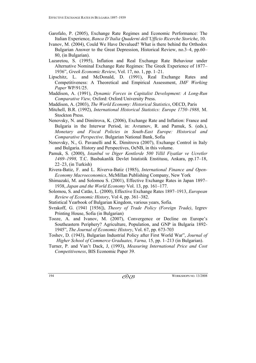- Garofalo, P. (2005), Exchange Rate Regimes and Economic Performance: The Italian Experience, *Banca D'Italia Quaderni dell'Ufficio Ricerche Storiche*, 10.
- Ivanov, M. (2004), Could We Have Devalued? What is there behind the Orthodox Bulgarian Answer to the Great Depression, Historical Review, no.3–4, pp.60– 80, (in Bulgarian).
- Lazaretou, S. (1995), Inflation and Real Exchange Rate Behaviour under Alternative Nominal Exchange Rate Regimes: The Greek Experience of 1877– 1936", *Greek Economic Review*, Vol. 17, no. 1, pp. 1–21.
- Lipschitz, L. and McDonald, D. (1991), Real Exchange Rates and Competitiveness: A Theoretical and Empirical Assessment, *IMF Working Paper* WP/91/25.
- Maddison, A. (1991), *Dynamic Forces in Capitalist Development: A Long-Run Comparative View,* Oxford: Oxford University Press.
- Maddison, A. (2003), *The World Economy: Historical Statistics*, OECD, Paris
- Mitchell, B.R. (1992), *International Historical Statistics: Europe 1750–1988,* M. Stockton Press.
- Nenovsky, N. and Dimitrova, K. (2006), Exchange Rate and Inflation: France and Bulgaria in the Interwar Period, in: Avramov, R. and Pamuk, S. (eds.), *Monetary and Fiscal Policies in South-East Europe: Historical and Comparative Perspective*. Bulgarian National Bank, Sofia
- Nenovsky, N., G. Pavanelli and K. Dimitrova (2007), Exchange Control in Italy and Bulgaria. History and Perspectives, OeNB, in this volume.
- Pamuk, S. (2000), *Istanbul ve Diger Kentlerde 500 Yillil Fiyatlar ve Ucretler 1469–1998,* T.C. Basbakanlik Devlet Istatistik Enstitusu, Ankara, pp.17–18, 22–23, (in Turkish)
- Rivera-Batiz, F. and L. Riverva-Batiz (1985), *International Finance and Open-Economy Macroeconomics*, McMillan Publishing Company, New York
- Shimazaki, M. and Solomou S. (2001), Effective Exchange Rates in Japan 1897– 1938, *Japan and the World Economy* Vol. 13, pp. 161–177.
- Solomou, S. and Catāo, L. (2000), Effective Exchange Rates 1897–1913, *European Review of Economic History*, Vol 4, pp. 361–382.
- Statistical Yearbook of Bulgarian Kingdom, various years, Sofia.
- Svrakoff, G. (1941 [1936]), *Theory of Trade Policy (Foreign Trade)*, Izgrev Printing House, Sofia (in Bulgarian)
- Tooze, A. and Ivanov, M. (2007), Convergence or Decline on Europe's Southeastern Periphery? Agriculture, Population, and GNP in Bulgaria 1892- 1945", *The Journal of Economic History*, Vol. 67, pp. 673-703
- Toshev, D. (1943), Bulgarian Industrial Policy after First World War", *Journal of Higher School of Commerce Graduates, Varna,* 15, pp. 1–213 (in Bulgarian).
- Turner, P. and Van't Dack, J, (1993), *Measuring International Price and Cost Competitiveness*, BIS Economic Paper 39.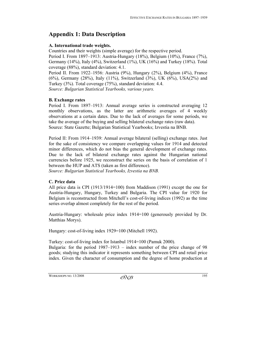# **Appendix 1: Data Description**

#### **A. International trade weights.**

Countries and their weights (simple average) for the respective period.

Period I. From 1897–1913: Austria-Hungary (18%), Belgium (10%), France (7%), Germany (14%), Italy (4%), Switzerland (1%), UK (16%) and Turkey (18%). Total coverage (88%), standard deviation: 4.1.

Period II. From 1922–1936: Austria (9%), Hungary (2%), Belgium (4%), France (6%), Germany (28%), Italy (11%), Switzerland (3%), UK (6%), USA(2%) and Turkey (3%). Total coverage (75%), standard deviation: 4.4.

*Source: Bulgarian Statistical Yearbooks, various years.* 

#### **B. Exchange rates**

Period I. From 1897–1913: Annual average series is constructed averaging 12 monthly observations, as the latter are arithmetic averages of 4 weekly observations at a certain dates. Due to the lack of averages for some periods, we take the average of the buying and selling bilateral exchange rates (raw data). Source: State Gazette; Bulgarian Statistical Yearbooks; Izvestia na BNB.

Period II: From 1914–1939: Annual average bilateral (selling) exchange rates. Just for the sake of consistency we compare overlapping values for 1914 and detected minor differences, which do not bias the general development of exchange rates. Due to the lack of bilateral exchange rates against the Hungarian national currencies before 1925, we reconstruct the series on the basis of correlation of 1 between the HUP and ATS (taken as first difference).

*Source: Bulgarian Statistical Yearbooks, Izvestia na BNB.* 

#### **C. Price data**

All price data is CPI (1913/1914=100) from Maddison (1991) except the one for Austria-Hungary, Hungary, Turkey and Bulgaria. The CPI value for 1920 for Belgium is reconstructed from Mitchell's cost-of-living indices (1992) as the time series overlap almost completely for the rest of the period.

Austria-Hungary: wholesale price index 1914=100 (generously provided by Dr. Matthias Morys).

Hungary: cost-of-living index 1929=100 (Mitchell 1992).

Turkey: cost-of-living index for Istanbul 1914=100 (Pamuk 2000).

Bulgaria: for the period 1987–1913 – index number of the price change of 98 goods; studying this indicator it represents something between CPI and retail price index. Given the character of consumption and the degree of home production at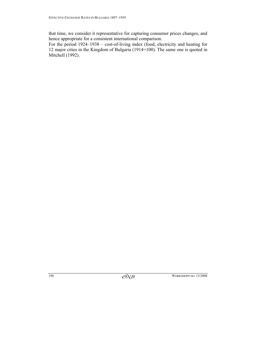that time, we consider it representative for capturing consumer prices changes, and hence appropriate for a consistent international comparison.

For the period 1924–1938 – cost-of-living index (food, electricity and heating for 12 major cities in the Kingdom of Bulgaria (1914=100). The same one is quoted in Mitchell (1992).